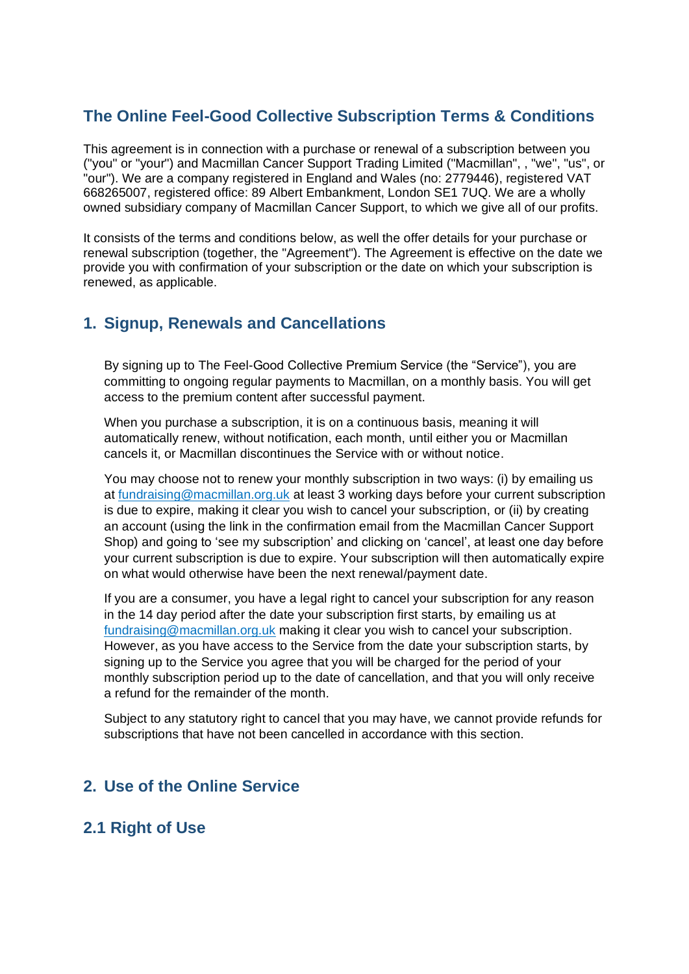# **The Online Feel-Good Collective Subscription Terms & Conditions**

This agreement is in connection with a purchase or renewal of a subscription between you ("you" or "your") and Macmillan Cancer Support Trading Limited ("Macmillan", , "we", "us", or "our"). We are a company registered in England and Wales (no: 2779446), registered VAT 668265007, registered office: 89 Albert Embankment, London SE1 7UQ. We are a wholly owned subsidiary company of Macmillan Cancer Support, to which we give all of our profits.

It consists of the terms and conditions below, as well the offer details for your purchase or renewal subscription (together, the "Agreement"). The Agreement is effective on the date we provide you with confirmation of your subscription or the date on which your subscription is renewed, as applicable.

## **1. Signup, Renewals and Cancellations**

By signing up to The Feel-Good Collective Premium Service (the "Service"), you are committing to ongoing regular payments to Macmillan, on a monthly basis. You will get access to the premium content after successful payment.

When you purchase a subscription, it is on a continuous basis, meaning it will automatically renew, without notification, each month, until either you or Macmillan cancels it, or Macmillan discontinues the Service with or without notice.

You may choose not to renew your monthly subscription in two ways: (i) by emailing us at [fundraising@macmillan.org.uk](mailto:fundraising@macmillan.org.uk) at least 3 working days before your current subscription is due to expire, making it clear you wish to cancel your subscription, or (ii) by creating an account (using the link in the confirmation email from the Macmillan Cancer Support Shop) and going to 'see my subscription' and clicking on 'cancel', at least one day before your current subscription is due to expire. Your subscription will then automatically expire on what would otherwise have been the next renewal/payment date.

If you are a consumer, you have a legal right to cancel your subscription for any reason in the 14 day period after the date your subscription first starts, by emailing us at [fundraising@macmillan.org.uk](mailto:fundraising@macmillan.org.uk) making it clear you wish to cancel your subscription. However, as you have access to the Service from the date your subscription starts, by signing up to the Service you agree that you will be charged for the period of your monthly subscription period up to the date of cancellation, and that you will only receive a refund for the remainder of the month.

Subject to any statutory right to cancel that you may have, we cannot provide refunds for subscriptions that have not been cancelled in accordance with this section.

## **2. Use of the Online Service**

## **2.1 Right of Use**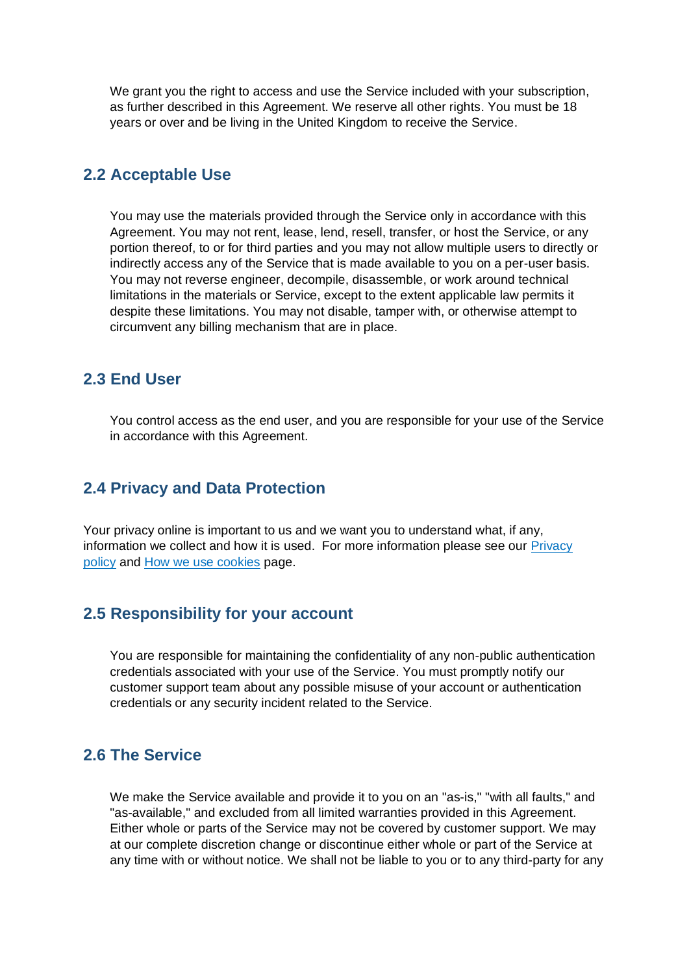We grant you the right to access and use the Service included with your subscription, as further described in this Agreement. We reserve all other rights. You must be 18 years or over and be living in the United Kingdom to receive the Service.

#### **2.2 Acceptable Use**

You may use the materials provided through the Service only in accordance with this Agreement. You may not rent, lease, lend, resell, transfer, or host the Service, or any portion thereof, to or for third parties and you may not allow multiple users to directly or indirectly access any of the Service that is made available to you on a per-user basis. You may not reverse engineer, decompile, disassemble, or work around technical limitations in the materials or Service, except to the extent applicable law permits it despite these limitations. You may not disable, tamper with, or otherwise attempt to circumvent any billing mechanism that are in place.

#### **2.3 End User**

You control access as the end user, and you are responsible for your use of the Service in accordance with this Agreement.

### **2.4 Privacy and Data Protection**

Your privacy online is important to us and we want you to understand what, if any, information we collect and how it is used. For more information please see our **Privacy** [policy](https://www.macmillan.org.uk/terms-and-conditions/privacy-policy.html) and [How we use cookies](https://www.macmillan.org.uk/terms-and-conditions/how-we-use-cookies.html) page.

#### **2.5 Responsibility for your account**

You are responsible for maintaining the confidentiality of any non-public authentication credentials associated with your use of the Service. You must promptly notify our customer support team about any possible misuse of your account or authentication credentials or any security incident related to the Service.

## **2.6 The Service**

We make the Service available and provide it to you on an "as-is," "with all faults," and "as-available," and excluded from all limited warranties provided in this Agreement. Either whole or parts of the Service may not be covered by customer support. We may at our complete discretion change or discontinue either whole or part of the Service at any time with or without notice. We shall not be liable to you or to any third-party for any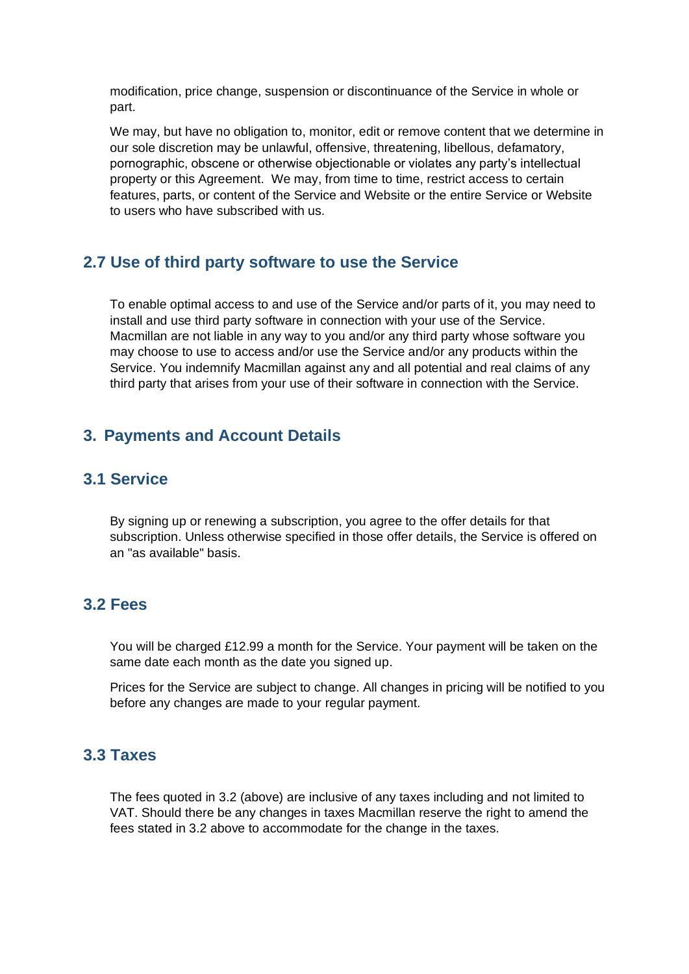modification, price change, suspension or discontinuance of the Service in whole or part.

We may, but have no obligation to, monitor, edit or remove content that we determine in our sole discretion may be unlawful, offensive, threatening, libellous, defamatory, pornographic, obscene or otherwise objectionable or violates any party's intellectual property or this Agreement. We may, from time to time, restrict access to certain features, parts, or content of the Service and Website or the entire Service or Website to users who have subscribed with us.

## **2.7 Use of third party software to use the Service**

To enable optimal access to and use of the Service and/or parts of it, you may need to install and use third party software in connection with your use of the Service. Macmillan are not liable in any way to you and/or any third party whose software you may choose to use to access and/or use the Service and/or any products within the Service. You indemnify Macmillan against any and all potential and real claims of any third party that arises from your use of their software in connection with the Service.

## **3. Payments and Account Details**

## **3.1 Service**

By signing up or renewing a subscription, you agree to the offer details for that subscription. Unless otherwise specified in those offer details, the Service is offered on an "as available" basis.

## **3.2 Fees**

You will be charged £12.99 a month for the Service. Your payment will be taken on the same date each month as the date you signed up.

Prices for the Service are subject to change. All changes in pricing will be notified to you before any changes are made to your regular payment.

## **3.3 Taxes**

The fees quoted in 3.2 (above) are inclusive of any taxes including and not limited to VAT. Should there be any changes in taxes Macmillan reserve the right to amend the fees stated in 3.2 above to accommodate for the change in the taxes.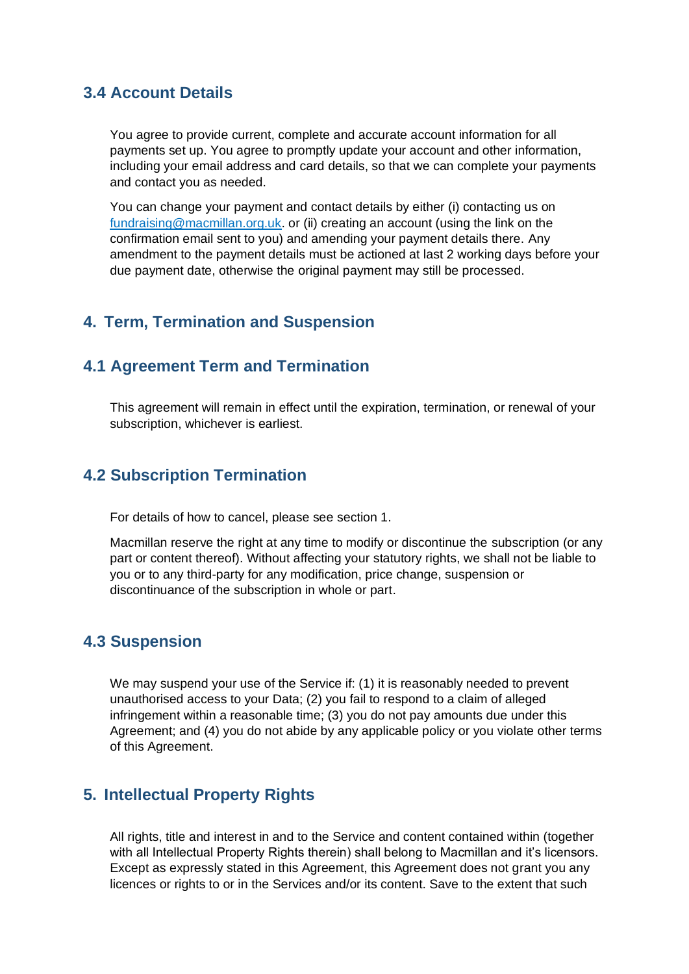## **3.4 Account Details**

You agree to provide current, complete and accurate account information for all payments set up. You agree to promptly update your account and other information, including your email address and card details, so that we can complete your payments and contact you as needed.

You can change your payment and contact details by either (i) contacting us on [fundraising@macmillan.org.uk.](mailto:fundraising@macmillan.org.uk) or (ii) creating an account (using the link on the confirmation email sent to you) and amending your payment details there. Any amendment to the payment details must be actioned at last 2 working days before your due payment date, otherwise the original payment may still be processed.

## **4. Term, Termination and Suspension**

## **4.1 Agreement Term and Termination**

This agreement will remain in effect until the expiration, termination, or renewal of your subscription, whichever is earliest.

## **4.2 Subscription Termination**

For details of how to cancel, please see section 1.

Macmillan reserve the right at any time to modify or discontinue the subscription (or any part or content thereof). Without affecting your statutory rights, we shall not be liable to you or to any third-party for any modification, price change, suspension or discontinuance of the subscription in whole or part.

### **4.3 Suspension**

We may suspend your use of the Service if: (1) it is reasonably needed to prevent unauthorised access to your Data; (2) you fail to respond to a claim of alleged infringement within a reasonable time; (3) you do not pay amounts due under this Agreement; and (4) you do not abide by any applicable policy or you violate other terms of this Agreement.

## **5. Intellectual Property Rights**

All rights, title and interest in and to the Service and content contained within (together with all Intellectual Property Rights therein) shall belong to Macmillan and it's licensors. Except as expressly stated in this Agreement, this Agreement does not grant you any licences or rights to or in the Services and/or its content. Save to the extent that such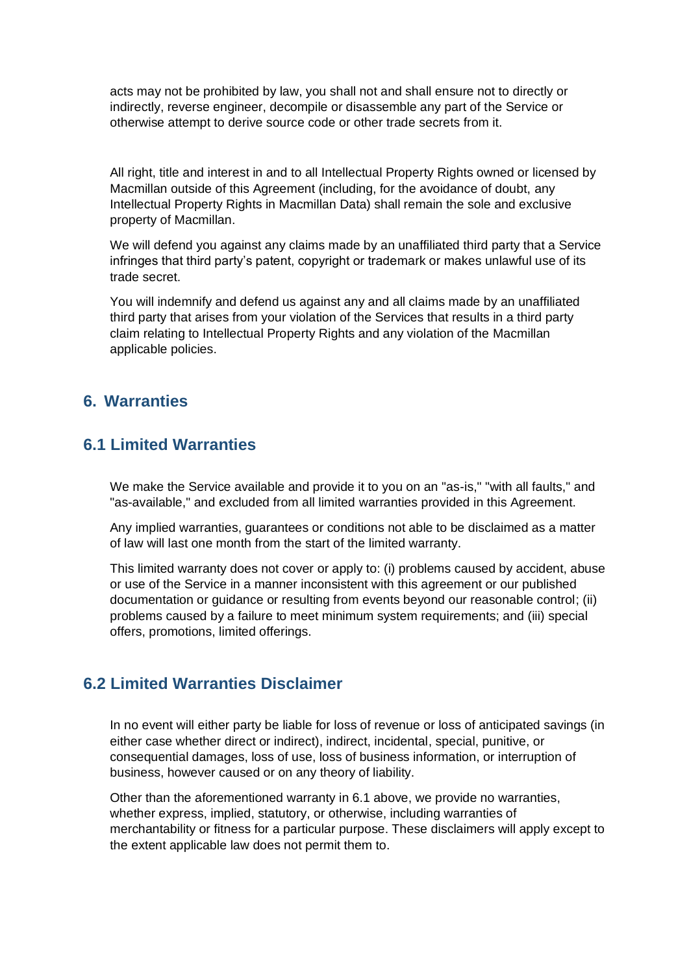acts may not be prohibited by law, you shall not and shall ensure not to directly or indirectly, reverse engineer, decompile or disassemble any part of the Service or otherwise attempt to derive source code or other trade secrets from it.

All right, title and interest in and to all Intellectual Property Rights owned or licensed by Macmillan outside of this Agreement (including, for the avoidance of doubt, any Intellectual Property Rights in Macmillan Data) shall remain the sole and exclusive property of Macmillan.

We will defend you against any claims made by an unaffiliated third party that a Service infringes that third party's patent, copyright or trademark or makes unlawful use of its trade secret.

You will indemnify and defend us against any and all claims made by an unaffiliated third party that arises from your violation of the Services that results in a third party claim relating to Intellectual Property Rights and any violation of the Macmillan applicable policies.

## **6. Warranties**

### **6.1 Limited Warranties**

We make the Service available and provide it to you on an "as-is," "with all faults," and "as-available," and excluded from all limited warranties provided in this Agreement.

Any implied warranties, guarantees or conditions not able to be disclaimed as a matter of law will last one month from the start of the limited warranty.

This limited warranty does not cover or apply to: (i) problems caused by accident, abuse or use of the Service in a manner inconsistent with this agreement or our published documentation or guidance or resulting from events beyond our reasonable control; (ii) problems caused by a failure to meet minimum system requirements; and (iii) special offers, promotions, limited offerings.

## **6.2 Limited Warranties Disclaimer**

In no event will either party be liable for loss of revenue or loss of anticipated savings (in either case whether direct or indirect), indirect, incidental, special, punitive, or consequential damages, loss of use, loss of business information, or interruption of business, however caused or on any theory of liability.

Other than the aforementioned warranty in 6.1 above, we provide no warranties, whether express, implied, statutory, or otherwise, including warranties of merchantability or fitness for a particular purpose. These disclaimers will apply except to the extent applicable law does not permit them to.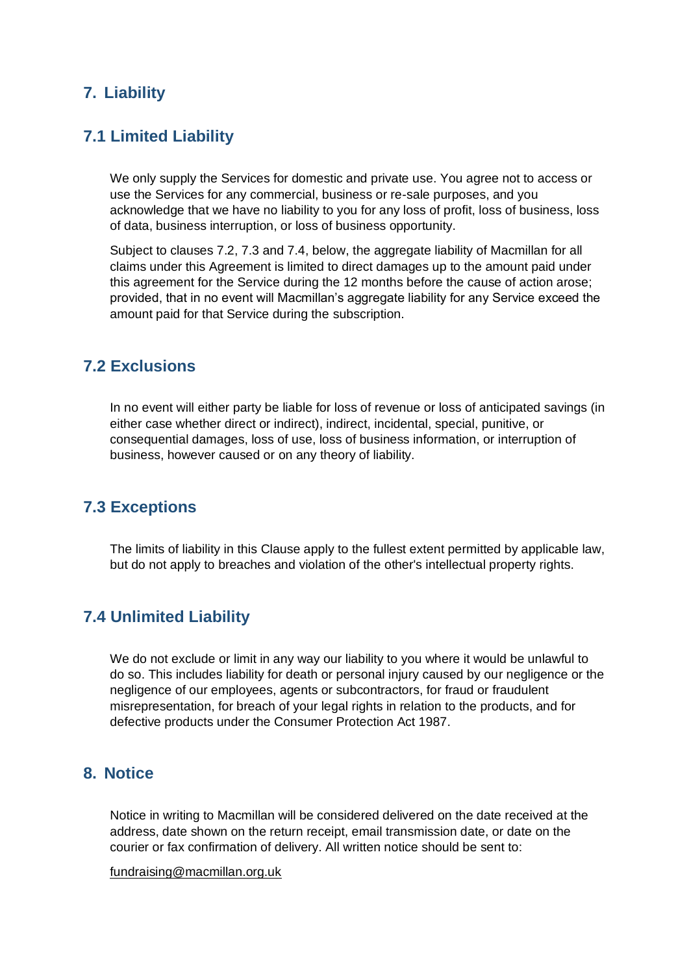## **7. Liability**

## **7.1 Limited Liability**

We only supply the Services for domestic and private use. You agree not to access or use the Services for any commercial, business or re-sale purposes, and you acknowledge that we have no liability to you for any loss of profit, loss of business, loss of data, business interruption, or loss of business opportunity.

Subject to clauses 7.2, 7.3 and 7.4, below, the aggregate liability of Macmillan for all claims under this Agreement is limited to direct damages up to the amount paid under this agreement for the Service during the 12 months before the cause of action arose; provided, that in no event will Macmillan's aggregate liability for any Service exceed the amount paid for that Service during the subscription.

## **7.2 Exclusions**

In no event will either party be liable for loss of revenue or loss of anticipated savings (in either case whether direct or indirect), indirect, incidental, special, punitive, or consequential damages, loss of use, loss of business information, or interruption of business, however caused or on any theory of liability.

#### **7.3 Exceptions**

The limits of liability in this Clause apply to the fullest extent permitted by applicable law, but do not apply to breaches and violation of the other's intellectual property rights.

## **7.4 Unlimited Liability**

We do not exclude or limit in any way our liability to you where it would be unlawful to do so. This includes liability for death or personal injury caused by our negligence or the negligence of our employees, agents or subcontractors, for fraud or fraudulent misrepresentation, for breach of your legal rights in relation to the products, and for defective products under the Consumer Protection Act 1987.

### **8. Notice**

Notice in writing to Macmillan will be considered delivered on the date received at the address, date shown on the return receipt, email transmission date, or date on the courier or fax confirmation of delivery. All written notice should be sent to:

[fundraising@macmillan.org.uk](mailto:fundraising@macmillan.org.uk)